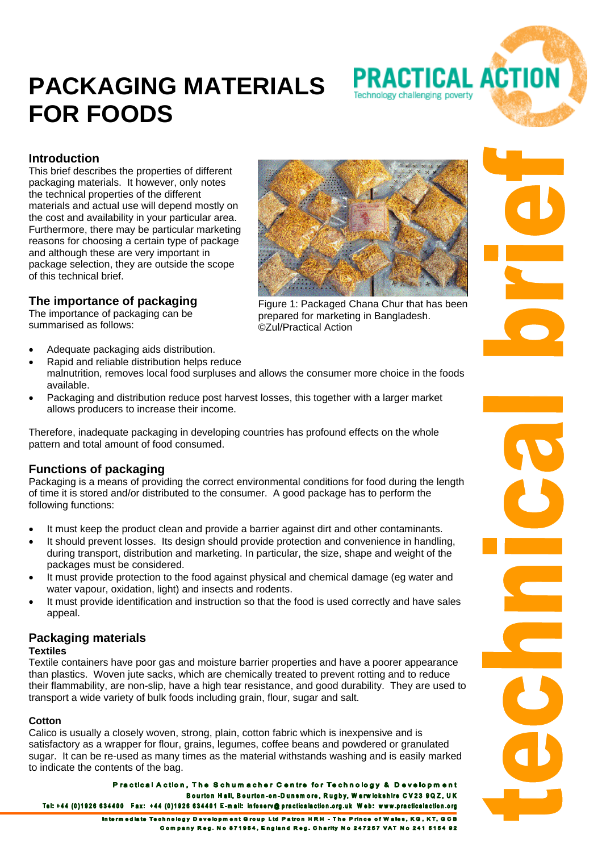# **PACKAGING MATERIALS FOR FOODS**





# **Introduction**

This brief describes the properties of different packaging materials. It however, only notes the technical properties of the different materials and actual use will depend mostly on the cost and availability in your particular area. Furthermore, there may be particular marketing reasons for choosing a certain type of package and although these are very important in package selection, they are outside the scope of this technical brief.

# **The importance of packaging**

The importance of packaging can be summarised as follows:

- Adequate packaging aids distribution.
- Rapid and reliable distribution helps reduce
- malnutrition, removes local food surpluses and allows the consumer more choice in the foods available.
- Packaging and distribution reduce post harvest losses, this together with a larger market allows producers to increase their income.

Therefore, inadequate packaging in developing countries has profound effects on the whole pattern and total amount of food consumed.

# **Functions of packaging**

Packaging is a means of providing the correct environmental conditions for food during the length of time it is stored and/or distributed to the consumer. A good package has to perform the following functions:

- It must keep the product clean and provide a barrier against dirt and other contaminants.
- It should prevent losses. Its design should provide protection and convenience in handling, during transport, distribution and marketing. In particular, the size, shape and weight of the packages must be considered.
- It must provide protection to the food against physical and chemical damage (eg water and water vapour, oxidation, light) and insects and rodents.
- It must provide identification and instruction so that the food is used correctly and have sales appeal.

# **Packaging materials**

# **Textiles**

Textile containers have poor gas and moisture barrier properties and have a poorer appearance than plastics. Woven jute sacks, which are chemically treated to prevent rotting and to reduce their flammability, are non-slip, have a high tear resistance, and good durability. They are used to transport a wide variety of bulk foods including grain, flour, sugar and salt.

# **Cotton**

Calico is usually a closely woven, strong, plain, cotton fabric which is inexpensive and is satisfactory as a wrapper for flour, grains, legumes, coffee beans and powdered or granulated sugar. It can be re-used as many times as the material withstands washing and is easily marked to indicate the contents of the bag.

Practical Action, The Schumacher Centre for Technology & Development Bourton Hall, Bourton-on-Dunsmore, Rugby, Warwickshire CV23 9QZ, UK Tel: +44 (0)1926 634400 Fax: +44 (0)1926 634401 E-mail: infoserv@practicalaction.org.uk Web: www.practicalaction.org

> Intermediate Technology Development Group Ltd Patron HRH - The Prince of Wales, KG, KT, GCB Company Reg. No 871954. England Reg. Charlty No 247257 VAT No 241 5154 92



prepared for marketing in Bangladesh. ©Zul/Practical Action

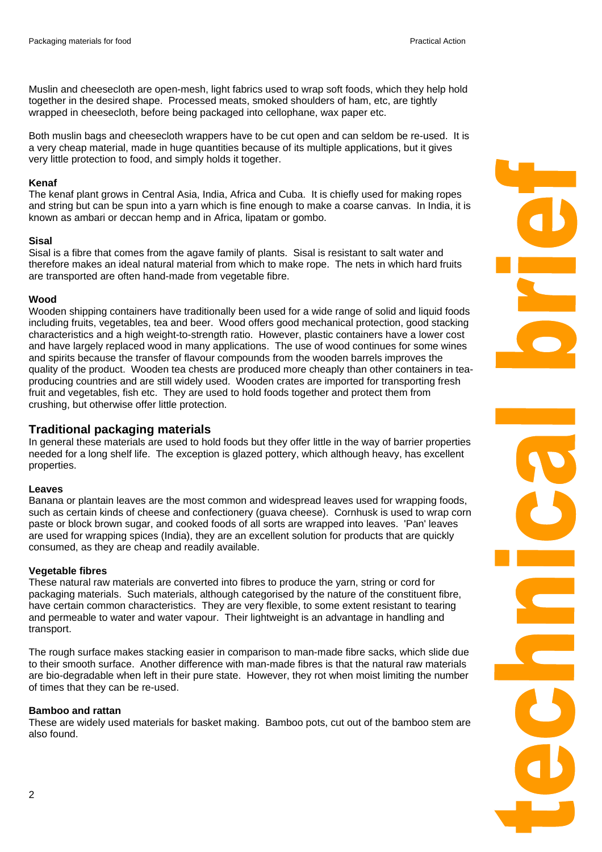Muslin and cheesecloth are open-mesh, light fabrics used to wrap soft foods, which they help hold together in the desired shape. Processed meats, smoked shoulders of ham, etc, are tightly wrapped in cheesecloth, before being packaged into cellophane, wax paper etc.

Both muslin bags and cheesecloth wrappers have to be cut open and can seldom be re-used. It is a very cheap material, made in huge quantities because of its multiple applications, but it gives very little protection to food, and simply holds it together.

#### **Kenaf**

The kenaf plant grows in Central Asia, India, Africa and Cuba. It is chiefly used for making ropes and string but can be spun into a yarn which is fine enough to make a coarse canvas. In India, it is known as ambari or deccan hemp and in Africa, lipatam or gombo.

#### **Sisal**

Sisal is a fibre that comes from the agave family of plants. Sisal is resistant to salt water and therefore makes an ideal natural material from which to make rope. The nets in which hard fruits are transported are often hand-made from vegetable fibre.

#### **Wood**

Wooden shipping containers have traditionally been used for a wide range of solid and liquid foods including fruits, vegetables, tea and beer. Wood offers good mechanical protection, good stacking characteristics and a high weight-to-strength ratio. However, plastic containers have a lower cost and have largely replaced wood in many applications. The use of wood continues for some wines and spirits because the transfer of flavour compounds from the wooden barrels improves the quality of the product. Wooden tea chests are produced more cheaply than other containers in teaproducing countries and are still widely used. Wooden crates are imported for transporting fresh fruit and vegetables, fish etc. They are used to hold foods together and protect them from crushing, but otherwise offer little protection.

# **Traditional packaging materials**

In general these materials are used to hold foods but they offer little in the way of barrier properties needed for a long shelf life. The exception is glazed pottery, which although heavy, has excellent properties.

# **Leaves**

Banana or plantain leaves are the most common and widespread leaves used for wrapping foods, such as certain kinds of cheese and confectionery (guava cheese). Cornhusk is used to wrap corn paste or block brown sugar, and cooked foods of all sorts are wrapped into leaves. 'Pan' leaves are used for wrapping spices (India), they are an excellent solution for products that are quickly consumed, as they are cheap and readily available.

# **Vegetable fibres**

These natural raw materials are converted into fibres to produce the yarn, string or cord for packaging materials. Such materials, although categorised by the nature of the constituent fibre, have certain common characteristics. They are very flexible, to some extent resistant to tearing and permeable to water and water vapour. Their lightweight is an advantage in handling and transport.

The rough surface makes stacking easier in comparison to man-made fibre sacks, which slide due to their smooth surface. Another difference with man-made fibres is that the natural raw materials are bio-degradable when left in their pure state. However, they rot when moist limiting the number of times that they can be re-used.

#### **Bamboo and rattan**

These are widely used materials for basket making. Bamboo pots, cut out of the bamboo stem are also found.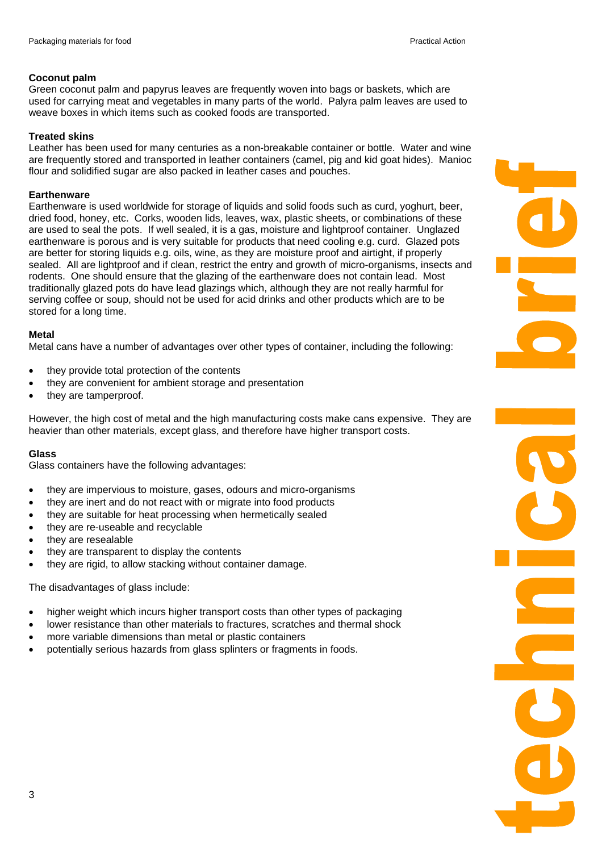# **Coconut palm**

Green coconut palm and papyrus leaves are frequently woven into bags or baskets, which are used for carrying meat and vegetables in many parts of the world. Palyra palm leaves are used to weave boxes in which items such as cooked foods are transported.

# **Treated skins**

Leather has been used for many centuries as a non-breakable container or bottle. Water and wine are frequently stored and transported in leather containers (camel, pig and kid goat hides). Manioc flour and solidified sugar are also packed in leather cases and pouches.

# **Earthenware**

Earthenware is used worldwide for storage of liquids and solid foods such as curd, yoghurt, beer, dried food, honey, etc. Corks, wooden lids, leaves, wax, plastic sheets, or combinations of these are used to seal the pots. If well sealed, it is a gas, moisture and lightproof container. Unglazed earthenware is porous and is very suitable for products that need cooling e.g. curd. Glazed pots are better for storing liquids e.g. oils, wine, as they are moisture proof and airtight, if properly sealed. All are lightproof and if clean, restrict the entry and growth of micro-organisms, insects and rodents. One should ensure that the glazing of the earthenware does not contain lead. Most traditionally glazed pots do have lead glazings which, although they are not really harmful for serving coffee or soup, should not be used for acid drinks and other products which are to be stored for a long time.

# **Metal**

Metal cans have a number of advantages over other types of container, including the following:

- they provide total protection of the contents
- they are convenient for ambient storage and presentation
- they are tamperproof.

However, the high cost of metal and the high manufacturing costs make cans expensive. They are heavier than other materials, except glass, and therefore have higher transport costs.

# **Glass**

Glass containers have the following advantages:

- they are impervious to moisture, gases, odours and micro-organisms
- they are inert and do not react with or migrate into food products
- they are suitable for heat processing when hermetically sealed
- they are re-useable and recyclable
- they are resealable
- they are transparent to display the contents
- they are rigid, to allow stacking without container damage.

The disadvantages of glass include:

- higher weight which incurs higher transport costs than other types of packaging
- lower resistance than other materials to fractures, scratches and thermal shock
- more variable dimensions than metal or plastic containers
- potentially serious hazards from glass splinters or fragments in foods.

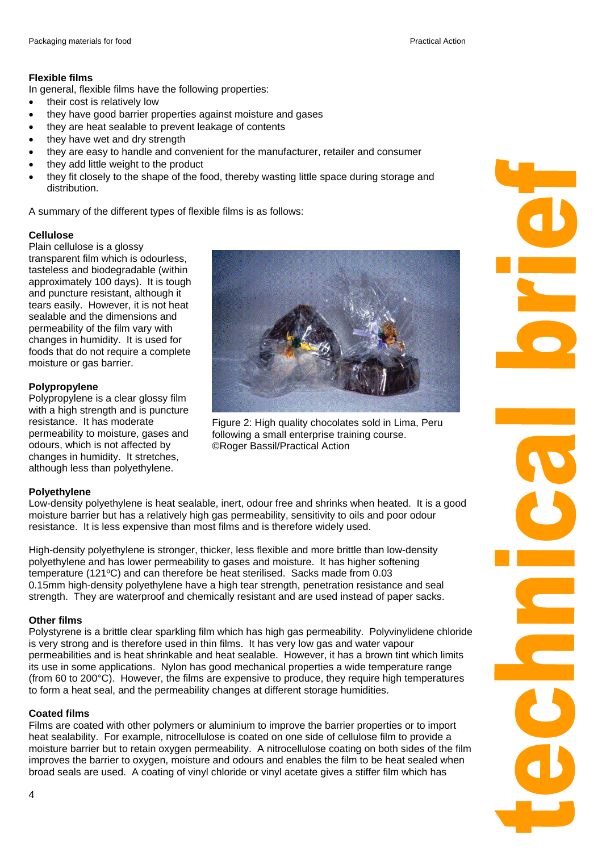# **Flexible films**

In general, flexible films have the following properties:

- their cost is relatively low
- they have good barrier properties against moisture and gases
- they are heat sealable to prevent leakage of contents
- they have wet and dry strength
- they are easy to handle and convenient for the manufacturer, retailer and consumer
- they add little weight to the product
- they fit closely to the shape of the food, thereby wasting little space during storage and distribution.

A summary of the different types of flexible films is as follows:

# **Cellulose**

Plain cellulose is a glossy transparent film which is odourless, tasteless and biodegradable (within approximately 100 days). It is tough and puncture resistant, although it tears easily. However, it is not heat sealable and the dimensions and permeability of the film vary with changes in humidity. It is used for foods that do not require a complete moisture or gas barrier.

# **Polypropylene**

Polypropylene is a clear glossy film with a high strength and is puncture resistance. It has moderate permeability to moisture, gases and odours, which is not affected by changes in humidity. It stretches, although less than polyethylene.

# **Polyethylene**

Low-density polyethylene is heat sealable, inert, odour free and shrinks when heated. It is a good moisture barrier but has a relatively high gas permeability, sensitivity to oils and poor odour resistance. It is less expensive than most films and is therefore widely used.

High-density polyethylene is stronger, thicker, less flexible and more brittle than low-density polyethylene and has lower permeability to gases and moisture. It has higher softening temperature (121ºC) and can therefore be heat sterilised. Sacks made from 0.03 0.15mm high-density polyethylene have a high tear strength, penetration resistance and seal strength. They are waterproof and chemically resistant and are used instead of paper sacks.

# **Other films**

Polystyrene is a brittle clear sparkling film which has high gas permeability. Polyvinylidene chloride is very strong and is therefore used in thin films. It has very low gas and water vapour permeabilities and is heat shrinkable and heat sealable. However, it has a brown tint which limits its use in some applications. Nylon has good mechanical properties a wide temperature range (from 60 to 200°C). However, the films are expensive to produce, they require high temperatures to form a heat seal, and the permeability changes at different storage humidities.

# **Coated films**

Films are coated with other polymers or aluminium to improve the barrier properties or to import heat sealability. For example, nitrocellulose is coated on one side of cellulose film to provide a moisture barrier but to retain oxygen permeability. A nitrocellulose coating on both sides of the film improves the barrier to oxygen, moisture and odours and enables the film to be heat sealed when broad seals are used. A coating of vinyl chloride or vinyl acetate gives a stiffer film which has



Figure 2: High quality chocolates sold in Lima, Peru following a small enterprise training course. ©Roger Bassil/Practical Action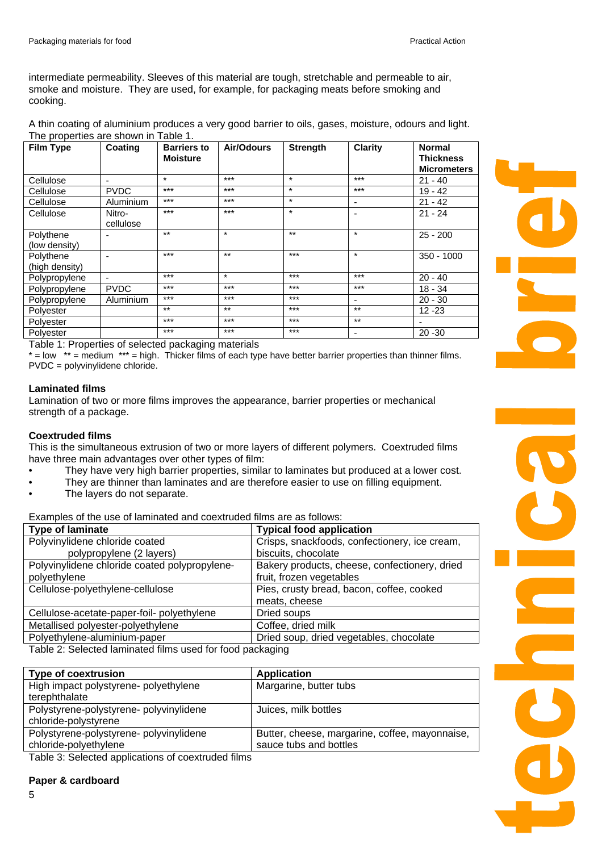intermediate permeability. Sleeves of this material are tough, stretchable and permeable to air, smoke and moisture. They are used, for example, for packaging meats before smoking and cooking.

A thin coating of aluminium produces a very good barrier to oils, gases, moisture, odours and light. The properties are shown in Table 1.

| <b>Film Type</b> | Coating                  | <b>Barriers to</b><br><b>Moisture</b> | Air/Odours | <b>Strength</b> | <b>Clarity</b>           | <b>Normal</b><br><b>Thickness</b> |
|------------------|--------------------------|---------------------------------------|------------|-----------------|--------------------------|-----------------------------------|
|                  |                          |                                       |            |                 |                          | <b>Micrometers</b>                |
| Cellulose        | $\overline{\phantom{0}}$ | $\star$                               | $***$      | $\star$         | $***$                    | $21 - 40$                         |
| Cellulose        | <b>PVDC</b>              | $***$                                 | $***$      | $\star$         | $***$                    | $19 - 42$                         |
| Cellulose        | Aluminium                | $***$                                 | $***$      | $\star$         | ٠                        | $21 - 42$                         |
| Cellulose        | Nitro-                   | $***$                                 | $***$      | $\star$         | $\blacksquare$           | $21 - 24$                         |
|                  | cellulose                |                                       |            |                 |                          |                                   |
| Polythene        |                          | $***$                                 | $\star$    | $***$           | $\star$                  | $25 - 200$                        |
| (low density)    |                          |                                       |            |                 |                          |                                   |
| Polythene        |                          | $***$                                 | $***$      | $***$           | $\star$                  | $350 - 1000$                      |
| (high density)   |                          |                                       |            |                 |                          |                                   |
| Polypropylene    | $\overline{\phantom{a}}$ | $***$                                 | $\star$    | $***$           | $***$                    | $20 - 40$                         |
| Polypropylene    | <b>PVDC</b>              | $***$                                 | $***$      | $***$           | $***$                    | $18 - 34$                         |
| Polypropylene    | Aluminium                | $***$                                 | $***$      | $***$           | $\overline{\phantom{a}}$ | $20 - 30$                         |
| Polyester        |                          | $***$                                 | $***$      | $***$           | $***$                    | $12 - 23$                         |
| Polyester        |                          | $***$                                 | $***$      | $***$           | $***$                    |                                   |
| Polyester        |                          | $***$                                 | $***$      | $***$           | ۰                        | $20 - 30$                         |

Table 1: Properties of selected packaging materials

 $*$  = low  $**$  = medium  $***$  = high. Thicker films of each type have better barrier properties than thinner films. PVDC = polyvinylidene chloride.

#### **Laminated films**

Lamination of two or more films improves the appearance, barrier properties or mechanical strength of a package.

# **Coextruded films**

This is the simultaneous extrusion of two or more layers of different polymers. Coextruded films have three main advantages over other types of film:

- They have very high barrier properties, similar to laminates but produced at a lower cost.
- They are thinner than laminates and are therefore easier to use on filling equipment.
- The layers do not separate.

Examples of the use of laminated and coextruded films are as follows:

| <b>Type of laminate</b>                                     | <b>Typical food application</b>               |  |  |  |
|-------------------------------------------------------------|-----------------------------------------------|--|--|--|
| Polyvinylidene chloride coated                              | Crisps, snackfoods, confectionery, ice cream, |  |  |  |
| polypropylene (2 layers)                                    | biscuits, chocolate                           |  |  |  |
| Polyvinylidene chloride coated polypropylene-               | Bakery products, cheese, confectionery, dried |  |  |  |
| polyethylene                                                | fruit, frozen vegetables                      |  |  |  |
| Cellulose-polyethylene-cellulose                            | Pies, crusty bread, bacon, coffee, cooked     |  |  |  |
|                                                             | meats, cheese                                 |  |  |  |
| Cellulose-acetate-paper-foil- polyethylene                  | Dried soups                                   |  |  |  |
| Metallised polyester-polyethylene                           | Coffee, dried milk                            |  |  |  |
| Polyethylene-aluminium-paper                                | Dried soup, dried vegetables, chocolate       |  |  |  |
| Tekle Qu Qelastad Iqueinstad films usad for faad naalcaning |                                               |  |  |  |

Table 2: Selected laminated films used for food packaging

| Type of coextrusion                    | <b>Application</b>                             |
|----------------------------------------|------------------------------------------------|
| High impact polystyrene- polyethylene  | Margarine, butter tubs                         |
| terephthalate                          |                                                |
| Polystyrene-polystyrene-polyvinylidene | Juices, milk bottles                           |
| chloride-polystyrene                   |                                                |
| Polystyrene-polystyrene-polyvinylidene | Butter, cheese, margarine, coffee, mayonnaise, |
| chloride-polyethylene                  | sauce tubs and bottles                         |

Table 3: Selected applications of coextruded films

# **Paper & cardboard**

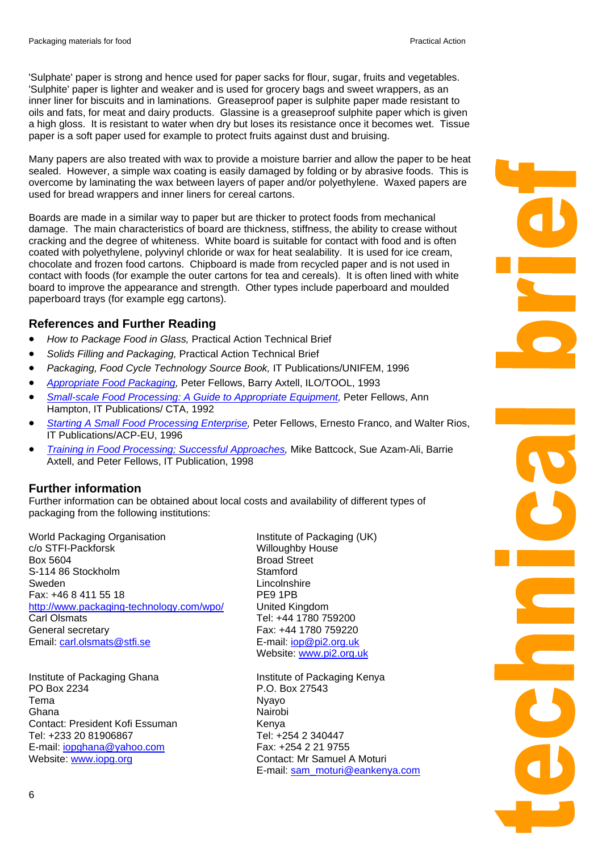'Sulphate' paper is strong and hence used for paper sacks for flour, sugar, fruits and vegetables. 'Sulphite' paper is lighter and weaker and is used for grocery bags and sweet wrappers, as an inner liner for biscuits and in laminations. Greaseproof paper is sulphite paper made resistant to oils and fats, for meat and dairy products. Glassine is a greaseproof sulphite paper which is given a high gloss. It is resistant to water when dry but loses its resistance once it becomes wet. Tissue paper is a soft paper used for example to protect fruits against dust and bruising.

Many papers are also treated with wax to provide a moisture barrier and allow the paper to be heat sealed. However, a simple wax coating is easily damaged by folding or by abrasive foods. This is overcome by laminating the wax between layers of paper and/or polyethylene. Waxed papers are used for bread wrappers and inner liners for cereal cartons.

Boards are made in a similar way to paper but are thicker to protect foods from mechanical damage. The main characteristics of board are thickness, stiffness, the ability to crease without cracking and the degree of whiteness. White board is suitable for contact with food and is often coated with polyethylene, polyvinyl chloride or wax for heat sealability. It is used for ice cream, chocolate and frozen food cartons. Chipboard is made from recycled paper and is not used in contact with foods (for example the outer cartons for tea and cereals). It is often lined with white board to improve the appearance and strength. Other types include paperboard and moulded paperboard trays (for example egg cartons).

# **References and Further Reading**

- *How to Package Food in Glass,* Practical Action Technical Brief
- *Solids Filling and Packaging,* Practical Action Technical Brief
- *Packaging, Food Cycle Technology Source Book,* IT Publications/UNIFEM, 1996
- *[Appropriate Food Packaging](http://www.developmentbookshop.com/book.phtml?isbn=1853395625),* Peter Fellows, Barry Axtell, ILO/TOOL, 1993
- *[Small-scale Food Processing: A Guide to Appropriate Equipment](http://www.developmentbookshop.com/book.phtml?isbn=1853395048),* Peter Fellows, Ann Hampton, IT Publications/ CTA, 1992
- *[Starting A Small Food Processing Enterprise,](http://www.developmentbookshop.com/book.phtml?isbn=1853393231)* Peter Fellows, Ernesto Franco, and Walter Rios, IT Publications/ACP-EU, 1996
- *[Training in Food Processing; Successful Approaches](http://www.developmentbookshop.com/book.phtml?isbn=1853394254),* Mike Battcock, Sue Azam-Ali, Barrie Axtell, and Peter Fellows, IT Publication, 1998

# **Further information**

Further information can be obtained about local costs and availability of different types of packaging from the following institutions:

World Packaging Organisation c/o STFI-Packforsk Box 5604 S-114 86 Stockholm Sweden Fax: +46 8 411 55 18 <http://www.packaging-technology.com/wpo/> Carl Olsmats General secretary Email: [carl.olsmats@stfi.se](mailto:carl.olsmats@stfi.se)

Institute of Packaging Ghana PO Box 2234 Tema Ghana Contact: President Kofi Essuman Tel: +233 20 81906867 E-mail: [iopghana@yahoo.com](mailto:iopghana@yahoo.com)  Website: [www.iopg.org](http://www.iopg.org/)

Institute of Packaging (UK) Willoughby House Broad Street **Stamford Lincolnshire** PE9 1PB United Kingdom Tel: +44 1780 759200 Fax: +44 1780 759220 E-mail: [iop@pi2.org.uk](mailto:iop@pi2.org.uk) Website: [www.pi2.org.uk](http://www.pi2.org.uk/)

Institute of Packaging Kenya P.O. Box 27543 Nyayo Nairobi Kenya Tel: +254 2 340447 Fax: +254 2 21 9755 Contact: Mr Samuel A Moturi E-mail: [sam\\_moturi@eankenya.com](mailto:sam_moturi@eankenya.com)